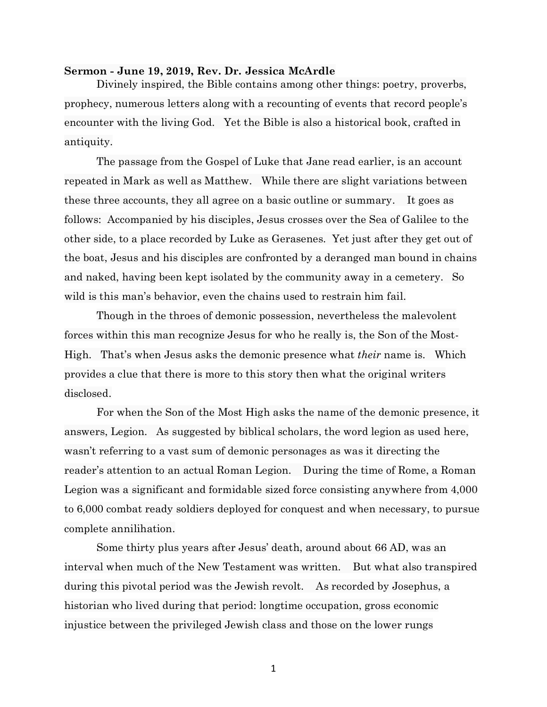## **Sermon - June 19, 2019, Rev. Dr. Jessica McArdle**

Divinely inspired, the Bible contains among other things: poetry, proverbs, prophecy, numerous letters along with a recounting of events that record people's encounter with the living God. Yet the Bible is also a historical book, crafted in antiquity.

The passage from the Gospel of Luke that Jane read earlier, is an account repeated in Mark as well as Matthew. While there are slight variations between these three accounts, they all agree on a basic outline or summary. It goes as follows: Accompanied by his disciples, Jesus crosses over the Sea of Galilee to the other side, to a place recorded by Luke as Gerasenes. Yet just after they get out of the boat, Jesus and his disciples are confronted by a deranged man bound in chains and naked, having been kept isolated by the community away in a cemetery. So wild is this man's behavior, even the chains used to restrain him fail.

Though in the throes of demonic possession, nevertheless the malevolent forces within this man recognize Jesus for who he really is, the Son of the Most-High. That's when Jesus asks the demonic presence what *their* name is. Which provides a clue that there is more to this story then what the original writers disclosed.

For when the Son of the Most High asks the name of the demonic presence, it answers, Legion. As suggested by biblical scholars, the word legion as used here, wasn't referring to a vast sum of demonic personages as was it directing the reader's attention to an actual Roman Legion. During the time of Rome, a Roman Legion was a significant and formidable sized force consisting anywhere from 4,000 to 6,000 combat ready soldiers deployed for conquest and when necessary, to pursue complete annilihation.

Some thirty plus years after Jesus' death, around about 66 AD, was an interval when much of the New Testament was written. But what also transpired during this pivotal period was the Jewish revolt. As recorded by Josephus, a historian who lived during that period: longtime occupation, gross economic injustice between the privileged Jewish class and those on the lower rungs

1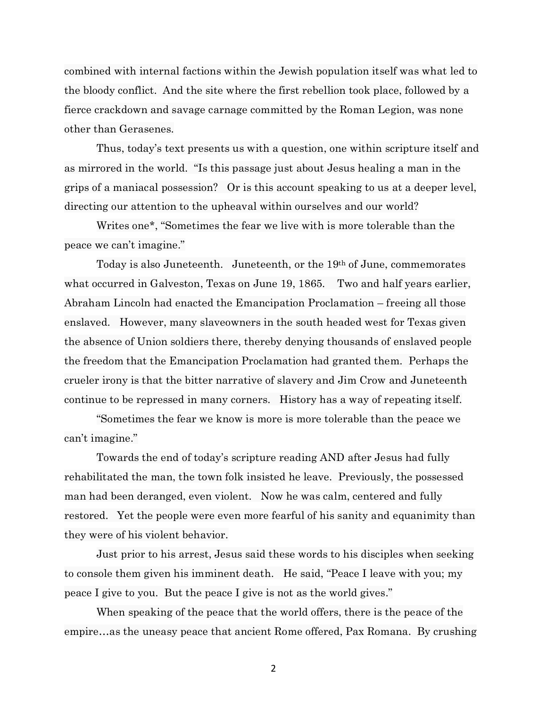combined with internal factions within the Jewish population itself was what led to the bloody conflict. And the site where the first rebellion took place, followed by a fierce crackdown and savage carnage committed by the Roman Legion, was none other than Gerasenes.

Thus, today's text presents us with a question, one within scripture itself and as mirrored in the world. "Is this passage just about Jesus healing a man in the grips of a maniacal possession? Or is this account speaking to us at a deeper level, directing our attention to the upheaval within ourselves and our world?

Writes one\*, "Sometimes the fear we live with is more tolerable than the peace we can't imagine."

Today is also Juneteenth. Juneteenth, or the 19th of June, commemorates what occurred in Galveston, Texas on June 19, 1865. Two and half years earlier, Abraham Lincoln had enacted the Emancipation Proclamation – freeing all those enslaved. However, many slaveowners in the south headed west for Texas given the absence of Union soldiers there, thereby denying thousands of enslaved people the freedom that the Emancipation Proclamation had granted them. Perhaps the crueler irony is that the bitter narrative of slavery and Jim Crow and Juneteenth continue to be repressed in many corners. History has a way of repeating itself.

"Sometimes the fear we know is more is more tolerable than the peace we can't imagine."

Towards the end of today's scripture reading AND after Jesus had fully rehabilitated the man, the town folk insisted he leave. Previously, the possessed man had been deranged, even violent. Now he was calm, centered and fully restored. Yet the people were even more fearful of his sanity and equanimity than they were of his violent behavior.

Just prior to his arrest, Jesus said these words to his disciples when seeking to console them given his imminent death. He said, "Peace I leave with you; my peace I give to you. But the peace I give is not as the world gives."

When speaking of the peace that the world offers, there is the peace of the empire…as the uneasy peace that ancient Rome offered, Pax Romana. By crushing

2